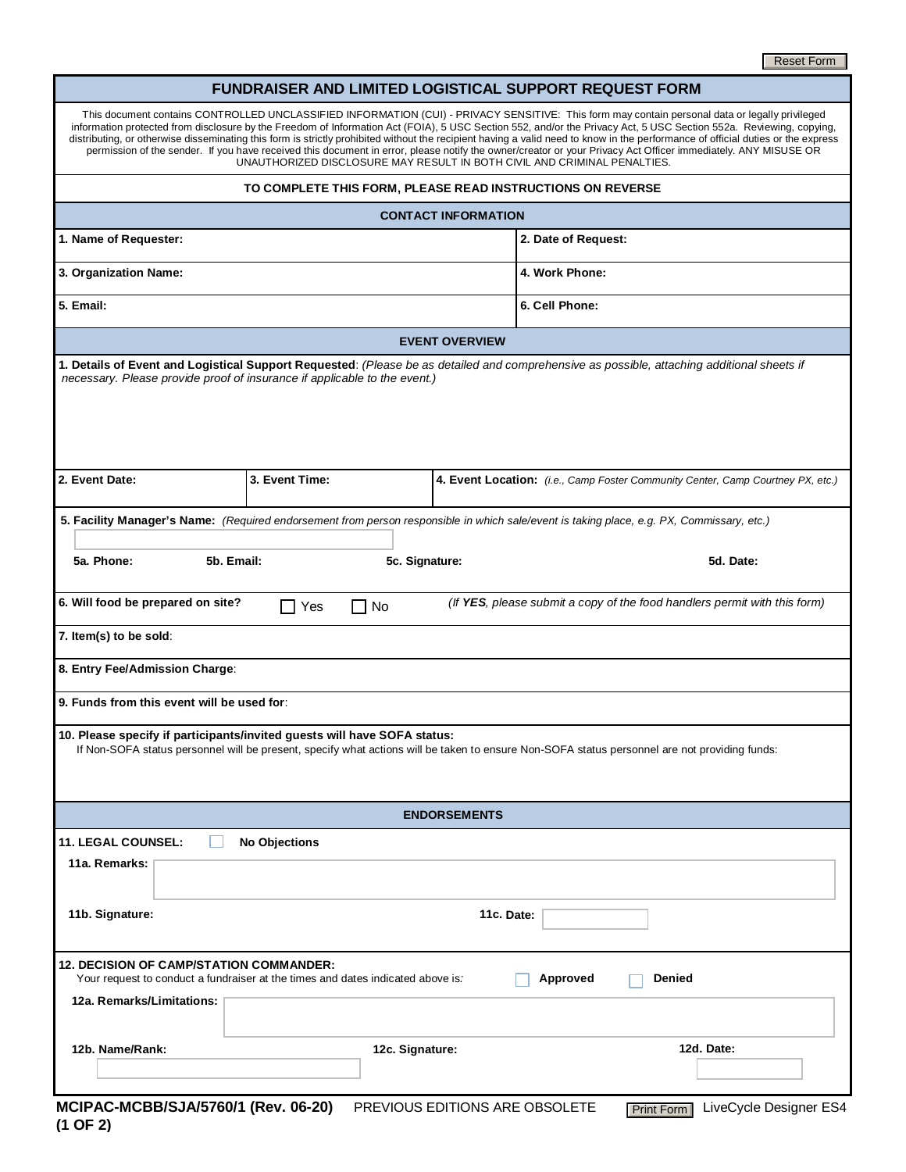#### **FUNDRAISER AND LIMITED LOGISTICAL SUPPORT REQUEST FORM**

|                                                                                                                                                                | Reset Form                                                                                                                                                                                                                                                                                                                                                                                                                                                                                                                                                                                                                                                                                                                                             |
|----------------------------------------------------------------------------------------------------------------------------------------------------------------|--------------------------------------------------------------------------------------------------------------------------------------------------------------------------------------------------------------------------------------------------------------------------------------------------------------------------------------------------------------------------------------------------------------------------------------------------------------------------------------------------------------------------------------------------------------------------------------------------------------------------------------------------------------------------------------------------------------------------------------------------------|
|                                                                                                                                                                | FUNDRAISER AND LIMITED LOGISTICAL SUPPORT REQUEST FORM                                                                                                                                                                                                                                                                                                                                                                                                                                                                                                                                                                                                                                                                                                 |
|                                                                                                                                                                | This document contains CONTROLLED UNCLASSIFIED INFORMATION (CUI) - PRIVACY SENSITIVE: This form may contain personal data or legally privileged<br>information protected from disclosure by the Freedom of Information Act (FOIA), 5 USC Section 552, and/or the Privacy Act, 5 USC Section 552a. Reviewing, copying,<br>distributing, or otherwise disseminating this form is strictly prohibited without the recipient having a valid need to know in the performance of official duties or the express<br>permission of the sender. If you have received this document in error, please notify the owner/creator or your Privacy Act Officer immediately. ANY MISUSE OR<br>UNAUTHORIZED DISCLOSURE MAY RESULT IN BOTH CIVIL AND CRIMINAL PENALTIES. |
|                                                                                                                                                                | TO COMPLETE THIS FORM, PLEASE READ INSTRUCTIONS ON REVERSE                                                                                                                                                                                                                                                                                                                                                                                                                                                                                                                                                                                                                                                                                             |
|                                                                                                                                                                | <b>CONTACT INFORMATION</b>                                                                                                                                                                                                                                                                                                                                                                                                                                                                                                                                                                                                                                                                                                                             |
| 1. Name of Requester:                                                                                                                                          | 2. Date of Request:                                                                                                                                                                                                                                                                                                                                                                                                                                                                                                                                                                                                                                                                                                                                    |
| 3. Organization Name:                                                                                                                                          | 4. Work Phone:                                                                                                                                                                                                                                                                                                                                                                                                                                                                                                                                                                                                                                                                                                                                         |
| 5. Email:                                                                                                                                                      | 6. Cell Phone:                                                                                                                                                                                                                                                                                                                                                                                                                                                                                                                                                                                                                                                                                                                                         |
|                                                                                                                                                                | <b>EVENT OVERVIEW</b>                                                                                                                                                                                                                                                                                                                                                                                                                                                                                                                                                                                                                                                                                                                                  |
| necessary. Please provide proof of insurance if applicable to the event.)                                                                                      | 1. Details of Event and Logistical Support Requested: (Please be as detailed and comprehensive as possible, attaching additional sheets if                                                                                                                                                                                                                                                                                                                                                                                                                                                                                                                                                                                                             |
| 2. Event Date:<br>3. Event Time:                                                                                                                               | 4. Event Location: (i.e., Camp Foster Community Center, Camp Courtney PX, etc.)                                                                                                                                                                                                                                                                                                                                                                                                                                                                                                                                                                                                                                                                        |
|                                                                                                                                                                | 5. Facility Manager's Name: (Required endorsement from person responsible in which sale/event is taking place, e.g. PX, Commissary, etc.)                                                                                                                                                                                                                                                                                                                                                                                                                                                                                                                                                                                                              |
| 5a. Phone:<br>5b. Email:                                                                                                                                       | 5c. Signature:<br>5d. Date:                                                                                                                                                                                                                                                                                                                                                                                                                                                                                                                                                                                                                                                                                                                            |
| 6. Will food be prepared on site?<br>(If YES, please submit a copy of the food handlers permit with this form)<br>$\Box$ No<br>Yes                             |                                                                                                                                                                                                                                                                                                                                                                                                                                                                                                                                                                                                                                                                                                                                                        |
| 7. Item(s) to be sold:                                                                                                                                         |                                                                                                                                                                                                                                                                                                                                                                                                                                                                                                                                                                                                                                                                                                                                                        |
| 8. Entry Fee/Admission Charge:                                                                                                                                 |                                                                                                                                                                                                                                                                                                                                                                                                                                                                                                                                                                                                                                                                                                                                                        |
| 9. Funds from this event will be used for:                                                                                                                     |                                                                                                                                                                                                                                                                                                                                                                                                                                                                                                                                                                                                                                                                                                                                                        |
| 10. Please specify if participants/invited guests will have SOFA status:                                                                                       | If Non-SOFA status personnel will be present, specify what actions will be taken to ensure Non-SOFA status personnel are not providing funds:                                                                                                                                                                                                                                                                                                                                                                                                                                                                                                                                                                                                          |
| <b>ENDORSEMENTS</b>                                                                                                                                            |                                                                                                                                                                                                                                                                                                                                                                                                                                                                                                                                                                                                                                                                                                                                                        |
| <b>11. LEGAL COUNSEL:</b><br><b>No Objections</b><br>11a. Remarks:                                                                                             |                                                                                                                                                                                                                                                                                                                                                                                                                                                                                                                                                                                                                                                                                                                                                        |
| 11b. Signature:                                                                                                                                                | 11c. Date:                                                                                                                                                                                                                                                                                                                                                                                                                                                                                                                                                                                                                                                                                                                                             |
| <b>12. DECISION OF CAMP/STATION COMMANDER:</b><br>Your request to conduct a fundraiser at the times and dates indicated above is.<br>12a. Remarks/Limitations: | Approved<br>Denied                                                                                                                                                                                                                                                                                                                                                                                                                                                                                                                                                                                                                                                                                                                                     |
|                                                                                                                                                                |                                                                                                                                                                                                                                                                                                                                                                                                                                                                                                                                                                                                                                                                                                                                                        |
| 12b. Name/Rank:                                                                                                                                                | 12d. Date:<br>12c. Signature:                                                                                                                                                                                                                                                                                                                                                                                                                                                                                                                                                                                                                                                                                                                          |
| MCIPAC-MCBB/SJA/5760/1 (Rev. 06-20)                                                                                                                            | LiveCycle Designer ES4<br>PREVIOUS EDITIONS ARE OBSOLETE<br>Print Form                                                                                                                                                                                                                                                                                                                                                                                                                                                                                                                                                                                                                                                                                 |